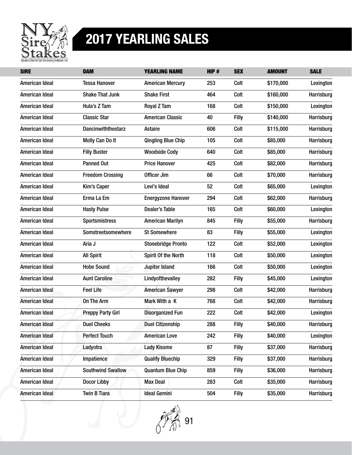

| <b>SIRE</b>           | <b>DAM</b>               | <b>YEARLING NAME</b>      | HIP# | <b>SEX</b>   | <b>AMOUNT</b> | <b>SALE</b> |
|-----------------------|--------------------------|---------------------------|------|--------------|---------------|-------------|
| American Ideal        | <b>Tessa Hanover</b>     | <b>American Mercury</b>   | 253  | Colt         | \$170,000     | Lexington   |
| American Ideal        | <b>Shake That Junk</b>   | <b>Shake First</b>        | 464  | Colt         | \$160,000     | Harrisburg  |
| American Ideal        | Hula's Z Tam             | Royal Z Tam               | 168  | Colt         | \$150,000     | Lexington   |
| American Ideal        | <b>Classic Star</b>      | <b>American Classic</b>   | 40   | Filly        | \$140,000     | Harrisburg  |
| American Ideal        | Dancinwiththestarz       | <b>Astaire</b>            | 606  | Colt         | \$115,000     | Harrisburg  |
| American Ideal        | Molly Can Do It          | <b>Qingling Blue Chip</b> | 105  | Colt         | \$85,000      | Harrisburg  |
| American Ideal        | <b>Filly Buster</b>      | <b>Woodside Cody</b>      | 640  | Colt         | \$85,000      | Harrisburg  |
| American Ideal        | <b>Panned Out</b>        | <b>Price Hanover</b>      | 425  | Colt         | \$82,000      | Harrisburg  |
| American Ideal        | <b>Freedom Crossing</b>  | Officer Jim               | 66   | Colt         | \$70,000      | Harrisburg  |
| American Ideal        | <b>Kim's Caper</b>       | Levi's Ideal              | 52   | Colt         | \$65,000      | Lexington   |
| American Ideal        | Erma La Em               | <b>Energyzone Hanover</b> | 294  | Colt         | \$62,000      | Harrisburg  |
| American Ideal        | <b>Hasty Pulse</b>       | <b>Dealer's Table</b>     | 165  | Colt         | \$60,000      | Lexington   |
| American Ideal        | <b>Sportsmistress</b>    | <b>American Marilyn</b>   | 845  | Filly        | \$55,000      | Harrisburg  |
| American Ideal        | Somstreetsomewhere       | <b>St Somewhere</b>       | 83   | Filly        | \$55,000      | Lexington   |
| American Ideal        | Aria J                   | <b>Stonebridge Pronto</b> | 122  | Colt         | \$52,000      | Lexington   |
| American Ideal        | <b>All Spirit</b>        | Spirit Of the North       | 118  | Colt         | \$50,000      | Lexington   |
| American Ideal        | <b>Hobe Sound</b>        | Jupiter Island            | 166  | Colt         | \$50,000      | Lexington   |
| American Ideal        | <b>Aunt Caroline</b>     | Lindyofthevalley          | 282  | Filly        | \$45,000      | Lexington   |
| American Ideal        | <b>Feel Life</b>         | <b>American Sawyer</b>    | 298  | Colt         | \$42,000      | Harrisburg  |
| American Ideal        | On The Arm               | Mark With a K             | 768  | Colt         | \$42,000      | Harrisburg  |
| American Ideal        | <b>Preppy Party Girl</b> | <b>Disorganized Fun</b>   | 222  | Colt         | \$42,000      | Lexington   |
| American Ideal        | <b>Duel Cheeks</b>       | <b>Duel Citizenship</b>   | 288  | Filly        | \$40,000      | Harrisburg  |
| American Ideal        | <b>Perfect Touch</b>     | <b>American Love</b>      | 242  | <b>Filly</b> | \$40,000      | Lexington   |
| American Ideal        | Ladyotra                 | <b>Lady Kissme</b>        | 87   | <b>Filly</b> | \$37,000      | Harrisburg  |
| <b>American Ideal</b> | Impatience               | <b>Qualify Bluechip</b>   | 329  | <b>Filly</b> | \$37,000      | Harrisburg  |
| American Ideal        | <b>Southwind Swallow</b> | <b>Quantum Blue Chip</b>  | 859  | <b>Filly</b> | \$36,000      | Harrisburg  |
| American Ideal        | <b>Docor Libby</b>       | <b>Max Deal</b>           | 283  | Colt         | \$35,000      | Harrisburg  |
| American Ideal        | <b>Twin B Tiara</b>      | <b>Ideal Gemini</b>       | 504  | <b>Filly</b> | \$35,000      | Harrisburg  |

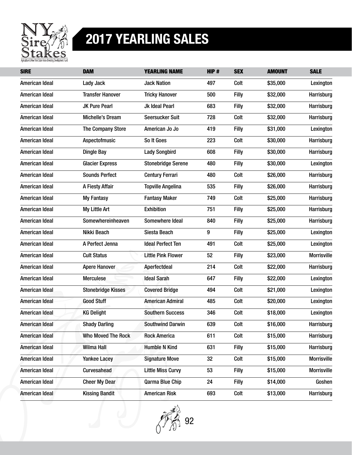

| <b>SIRE</b>           | <b>DAM</b>                | <b>YEARLING NAME</b>      | HIP# | <b>SEX</b>   | <b>AMOUNT</b> | <b>SALE</b>        |
|-----------------------|---------------------------|---------------------------|------|--------------|---------------|--------------------|
| American Ideal        | <b>Lady Jack</b>          | <b>Jack Nation</b>        | 497  | Colt         | \$35,000      | Lexington          |
| American Ideal        | <b>Transfer Hanover</b>   | <b>Tricky Hanover</b>     | 500  | Filly        | \$32,000      | Harrisburg         |
| American Ideal        | <b>JK Pure Pearl</b>      | Jk Ideal Pearl            | 683  | Filly        | \$32,000      | Harrisburg         |
| American Ideal        | <b>Michelle's Dream</b>   | <b>Seersucker Suit</b>    | 728  | Colt         | \$32,000      | Harrisburg         |
| American Ideal        | <b>The Company Store</b>  | American Jo Jo            | 419  | Filly        | \$31,000      | Lexington          |
| American Ideal        | Aspectofmusic             | So It Goes                | 223  | Colt         | \$30,000      | Harrisburg         |
| American Ideal        | <b>Dingle Bay</b>         | <b>Lady Songbird</b>      | 608  | Filly        | \$30,000      | Harrisburg         |
| American Ideal        | <b>Glacier Express</b>    | <b>Stonebridge Serene</b> | 480  | Filly        | \$30,000      | Lexington          |
| American Ideal        | <b>Sounds Perfect</b>     | <b>Century Ferrari</b>    | 480  | Colt         | \$26,000      | Harrisburg         |
| American Ideal        | A Fiesty Affair           | <b>Topville Angelina</b>  | 535  | Filly        | \$26,000      | Harrisburg         |
| American Ideal        | <b>My Fantasy</b>         | <b>Fantasy Maker</b>      | 749  | Colt         | \$25,000      | Harrisburg         |
| American Ideal        | My Little Art             | <b>Exhibition</b>         | 751  | Filly        | \$25,000      | Harrisburg         |
| <b>American Ideal</b> | Somewhereinheaven         | Somewhere Ideal           | 840  | Filly        | \$25,000      | Harrisburg         |
| American Ideal        | Nikki Beach               | Siesta Beach              | 9    | Filly        | \$25,000      | Lexington          |
| American Ideal        | A Perfect Jenna           | <b>Ideal Perfect Ten</b>  | 491  | Colt         | \$25,000      | Lexington          |
| American Ideal        | <b>Cult Status</b>        | <b>Little Pink Flower</b> | 52   | Filly        | \$23,000      | <b>Morrisville</b> |
| American Ideal        | <b>Apere Hanover</b>      | Aperfectdeal              | 214  | Colt         | \$22,000      | Harrisburg         |
| American Ideal        | <b>Merculese</b>          | <b>Ideal Sarah</b>        | 647  | <b>Filly</b> | \$22,000      | Lexington          |
| American Ideal        | <b>Stonebridge Kisses</b> | <b>Covered Bridge</b>     | 494  | Colt         | \$21,000      | Lexington          |
| American Ideal        | <b>Good Stuff</b>         | <b>American Admiral</b>   | 485  | Colt         | \$20,000      | Lexington          |
| American Ideal        | <b>KG Delight</b>         | <b>Southern Success</b>   | 346  | Colt         | \$18,000      | Lexington          |
| <b>American Ideal</b> | <b>Shady Darling</b>      | <b>Southwind Darwin</b>   | 639  | Colt         | \$16,000      | Harrisburg         |
| American Ideal        | <b>Who Moved The Rock</b> | <b>Rock America</b>       | 611  | Colt         | \$15,000      | Harrisburg         |
| American Ideal        | <b>Wilma Hall</b>         | <b>Humble N Kind</b>      | 631  | <b>Filly</b> | \$15,000      | Harrisburg         |
| American Ideal        | <b>Yankee Lacey</b>       | <b>Signature Move</b>     | 32   | Colt         | \$15,000      | <b>Morrisville</b> |
| American Ideal        | Curvesahead               | <b>Little Miss Curvy</b>  | 53   | <b>Filly</b> | \$15,000      | <b>Morrisville</b> |
| American Ideal        | <b>Cheer My Dear</b>      | Qarma Blue Chip           | 24   | <b>Filly</b> | \$14,000      | Goshen             |
| American Ideal        | <b>Kissing Bandit</b>     | <b>American Risk</b>      | 693  | Colt         | \$13,000      | Harrisburg         |

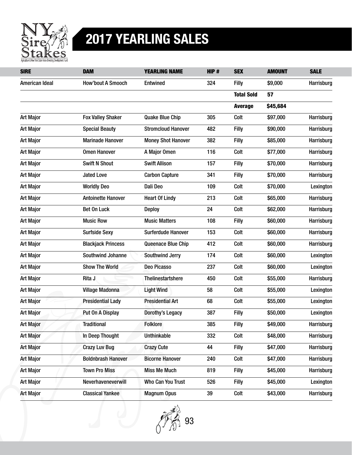

| <b>SIRE</b>      | <b>DAM</b>                | <b>YEARLING NAME</b>      | HIP# | <b>SEX</b>        | <b>AMOUNT</b> | <b>SALE</b> |
|------------------|---------------------------|---------------------------|------|-------------------|---------------|-------------|
| American Ideal   | <b>How'bout A Smooch</b>  | Entwined                  | 324  | <b>Filly</b>      | \$9,000       | Harrisburg  |
|                  |                           |                           |      | <b>Total Sold</b> | 57            |             |
|                  |                           |                           |      | <b>Average</b>    | \$45,684      |             |
| <b>Art Major</b> | <b>Fox Valley Shaker</b>  | <b>Quake Blue Chip</b>    | 305  | Colt              | \$97,000      | Harrisburg  |
| <b>Art Major</b> | <b>Special Beauty</b>     | <b>Stromcloud Hanover</b> | 482  | Filly             | \$90,000      | Harrisburg  |
| <b>Art Major</b> | <b>Marinade Hanover</b>   | <b>Money Shot Hanover</b> | 382  | <b>Filly</b>      | \$85,000      | Harrisburg  |
| <b>Art Major</b> | <b>Omen Hanover</b>       | A Major Omen              | 116  | Colt              | \$77,000      | Harrisburg  |
| <b>Art Major</b> | <b>Swift N Shout</b>      | <b>Swift Allison</b>      | 157  | <b>Filly</b>      | \$70,000      | Harrisburg  |
| <b>Art Major</b> | <b>Jated Love</b>         | <b>Carbon Capture</b>     | 341  | <b>Filly</b>      | \$70,000      | Harrisburg  |
| <b>Art Major</b> | <b>Worldly Deo</b>        | Dali Deo                  | 109  | Colt              | \$70,000      | Lexington   |
| <b>Art Major</b> | <b>Antoinette Hanover</b> | <b>Heart Of Lindy</b>     | 213  | Colt              | \$65,000      | Harrisburg  |
| <b>Art Major</b> | <b>Bet On Luck</b>        | <b>Deploy</b>             | 24   | Colt              | \$62,000      | Harrisburg  |
| <b>Art Major</b> | <b>Music Row</b>          | <b>Music Matters</b>      | 108  | <b>Filly</b>      | \$60,000      | Harrisburg  |
| <b>Art Major</b> | <b>Surfside Sexy</b>      | Surferdude Hanover        | 153  | Colt              | \$60,000      | Harrisburg  |
| <b>Art Major</b> | <b>Blackjack Princess</b> | Queenace Blue Chip        | 412  | Colt              | \$60,000      | Harrisburg  |
| <b>Art Major</b> | Southwind Johanne         | Southwind Jerry           | 174  | Colt              | \$60,000      | Lexington   |
| <b>Art Major</b> | <b>Show The World</b>     | Deo Picasso               | 237  | Colt              | \$60,000      | Lexington   |
| <b>Art Major</b> | Rita J                    | Thelinestartshere         | 450  | Colt              | \$55,000      | Harrisburg  |
| <b>Art Major</b> | <b>Village Madonna</b>    | <b>Light Wind</b>         | 58   | Colt              | \$55,000      | Lexington   |
| <b>Art Major</b> | <b>Presidential Lady</b>  | <b>Presidential Art</b>   | 68   | Colt              | \$55,000      | Lexington   |
| <b>Art Major</b> | Put On A Display          | Dorothy's Legacy          | 387  | <b>Filly</b>      | \$50,000      | Lexington   |
| <b>Art Major</b> | <b>Traditional</b>        | <b>Folklore</b>           | 385  | <b>Filly</b>      | \$49,000      | Harrisburg  |
| <b>Art Major</b> | In Deep Thought           | <b>Unthinkable</b>        | 332  | Colt              | \$48,000      | Harrisburg  |
| <b>Art Major</b> | <b>Crazy Luv Bug</b>      | <b>Crazy Cute</b>         | 44   | <b>Filly</b>      | \$47,000      | Harrisburg  |
| <b>Art Major</b> | <b>Boldnbrash Hanover</b> | <b>Bicorne Hanover</b>    | 240  | Colt              | \$47,000      | Harrisburg  |
| <b>Art Major</b> | <b>Town Pro Miss</b>      | <b>Miss Me Much</b>       | 819  | <b>Filly</b>      | \$45,000      | Harrisburg  |
| <b>Art Major</b> | Neverhaveneverwill        | Who Can You Trust         | 526  | <b>Filly</b>      | \$45,000      | Lexington   |
| <b>Art Major</b> | <b>Classical Yankee</b>   | <b>Magnum Opus</b>        | 39   | Colt              | \$43,000      | Harrisburg  |

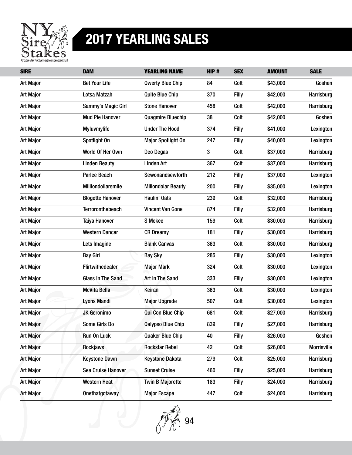

| <b>SIRE</b>      | <b>DAM</b>               | <b>YEARLING NAME</b>      | HIP#         | <b>SEX</b>   | <b>AMOUNT</b> | <b>SALE</b> |
|------------------|--------------------------|---------------------------|--------------|--------------|---------------|-------------|
| <b>Art Major</b> | <b>Bet Your Life</b>     | <b>Qwerty Blue Chip</b>   | 84           | Colt         | \$43,000      | Goshen      |
| <b>Art Major</b> | Lotsa Matzah             | <b>Quite Blue Chip</b>    | 370          | <b>Filly</b> | \$42,000      | Harrisburg  |
| <b>Art Major</b> | Sammy's Magic Girl       | <b>Stone Hanover</b>      | 458          | Colt         | \$42,000      | Harrisburg  |
| <b>Art Major</b> | <b>Mud Pie Hanover</b>   | <b>Quagmire Bluechip</b>  | 38           | Colt         | \$42,000      | Goshen      |
| <b>Art Major</b> | Myluvmylife              | <b>Under The Hood</b>     | 374          | <b>Filly</b> | \$41,000      | Lexington   |
| <b>Art Major</b> | Spotlight On             | <b>Major Spotlight On</b> | 247          | <b>Filly</b> | \$40,000      | Lexington   |
| <b>Art Major</b> | World Of Her Own         | Deo Degas                 | $\mathbf{3}$ | Colt         | \$37,000      | Harrisburg  |
| <b>Art Major</b> | <b>Linden Beauty</b>     | <b>Linden Art</b>         | 367          | Colt         | \$37,000      | Harrisburg  |
| <b>Art Major</b> | <b>Parlee Beach</b>      | Sewonandsewforth          | 212          | <b>Filly</b> | \$37,000      | Lexington   |
| <b>Art Major</b> | Milliondollarsmile       | <b>Miliondolar Beauty</b> | 200          | <b>Filly</b> | \$35,000      | Lexington   |
| <b>Art Major</b> | <b>Blogette Hanover</b>  | Haulin' Oats              | 239          | Colt         | \$32,000      | Harrisburg  |
| <b>Art Major</b> | <b>Terroronthebeach</b>  | <b>Vincent Van Gone</b>   | 874          | <b>Filly</b> | \$32,000      | Harrisburg  |
| <b>Art Major</b> | <b>Taiya Hanover</b>     | S Mckee                   | 159          | Colt         | \$30,000      | Harrisburg  |
| <b>Art Major</b> | <b>Western Dancer</b>    | <b>CR Dreamy</b>          | 181          | <b>Filly</b> | \$30,000      | Harrisburg  |
| <b>Art Major</b> | Lets Imagine             | <b>Blank Canvas</b>       | 363          | Colt         | \$30,000      | Harrisburg  |
| <b>Art Major</b> | <b>Bay Girl</b>          | <b>Bay Sky</b>            | 285          | Filly        | \$30,000      | Lexington   |
| <b>Art Major</b> | Flirtwithedealer         | <b>Major Mark</b>         | 324          | Colt         | \$30,000      | Lexington   |
| <b>Art Major</b> | <b>Glass In The Sand</b> | Art In The Sand           | 333          | <b>Filly</b> | \$30,000      | Lexington   |
| <b>Art Major</b> | <b>McVita Bella</b>      | Keiran                    | 363          | Colt         | \$30,000      | Lexington   |
| <b>Art Major</b> | <b>Lyons Mandi</b>       | <b>Major Upgrade</b>      | 507          | Colt         | \$30,000      | Lexington   |
| <b>Art Major</b> | <b>JK Geronimo</b>       | Qui Con Blue Chip         | 681          | Colt         | \$27,000      | Harrisburg  |
| <b>Art Major</b> | Some Girls Do            | <b>Qalypso Blue Chip</b>  | 839          | Filly        | \$27,000      | Harrisburg  |
| <b>Art Major</b> | Run On Luck              | <b>Quaker Blue Chip</b>   | 40           | <b>Filly</b> | \$26,000      | Goshen      |
| <b>Art Major</b> | <b>Rockjaws</b>          | <b>Rockstar Rebel</b>     | 42           | Colt         | \$26,000      | Morrisville |
| <b>Art Major</b> | <b>Keystone Dawn</b>     | <b>Keystone Dakota</b>    | 279          | Colt         | \$25,000      | Harrisburg  |
| <b>Art Major</b> | Sea Cruise Hanover       | <b>Sunset Cruise</b>      | 460          | <b>Filly</b> | \$25,000      | Harrisburg  |
| <b>Art Major</b> | Western Heat             | <b>Twin B Majorette</b>   | 183          | <b>Filly</b> | \$24,000      | Harrisburg  |
| <b>Art Major</b> | Onethatgotaway           | <b>Major Escape</b>       | 447          | Colt         | \$24,000      | Harrisburg  |

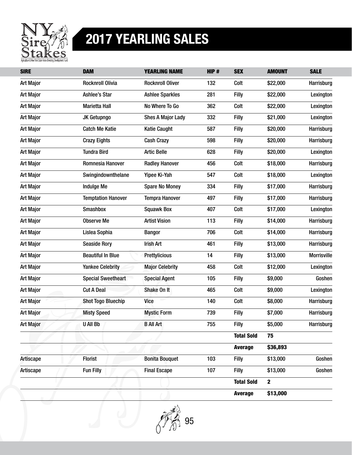

| <b>SIRE</b>      | <b>DAM</b>                | <b>YEARLING NAME</b>     | HIP# | <b>SEX</b>        | <b>AMOUNT</b> | <b>SALE</b>        |
|------------------|---------------------------|--------------------------|------|-------------------|---------------|--------------------|
| <b>Art Major</b> | <b>Rocknroll Olivia</b>   | <b>Rocknroll Oliver</b>  | 132  | Colt              | \$22,000      | Harrisburg         |
| <b>Art Major</b> | Ashlee's Star             | <b>Ashlee Sparkles</b>   | 281  | <b>Filly</b>      | \$22,000      | Lexington          |
| <b>Art Major</b> | Marietta Hall             | No Where To Go           | 362  | Colt              | \$22,000      | Lexington          |
| <b>Art Major</b> | JK Getupngo               | <b>Shes A Major Lady</b> | 332  | <b>Filly</b>      | \$21,000      | Lexington          |
| <b>Art Major</b> | <b>Catch Me Katie</b>     | <b>Katie Caught</b>      | 587  | Filly             | \$20,000      | Harrisburg         |
| <b>Art Major</b> | <b>Crazy Eights</b>       | <b>Cash Crazy</b>        | 598  | <b>Filly</b>      | \$20,000      | Harrisburg         |
| <b>Art Major</b> | <b>Tundra Bird</b>        | <b>Artic Belle</b>       | 628  | <b>Filly</b>      | \$20,000      | Lexington          |
| <b>Art Major</b> | Romnesia Hanover          | <b>Radley Hanover</b>    | 456  | Colt              | \$18,000      | Harrisburg         |
| <b>Art Major</b> | Swingindownthelane        | Yipee Ki-Yah             | 547  | Colt              | \$18,000      | Lexington          |
| <b>Art Major</b> | <b>Indulge Me</b>         | <b>Spare No Money</b>    | 334  | Filly             | \$17,000      | Harrisburg         |
| <b>Art Major</b> | <b>Temptation Hanover</b> | <b>Tempra Hanover</b>    | 497  | Filly             | \$17,000      | Harrisburg         |
| <b>Art Major</b> | <b>Smashbox</b>           | <b>Squawk Box</b>        | 407  | Colt              | \$17,000      | Lexington          |
| <b>Art Major</b> | <b>Observe Me</b>         | <b>Artist Vision</b>     | 113  | <b>Filly</b>      | \$14,000      | Harrisburg         |
| <b>Art Major</b> | Lislea Sophia             | <b>Bangor</b>            | 706  | Colt              | \$14,000      | Harrisburg         |
| <b>Art Major</b> | <b>Seaside Rory</b>       | <b>Irish Art</b>         | 461  | Filly             | \$13,000      | Harrisburg         |
| <b>Art Major</b> | <b>Beautiful In Blue</b>  | <b>Prettylicious</b>     | 14   | <b>Filly</b>      | \$13,000      | <b>Morrisville</b> |
| <b>Art Major</b> | <b>Yankee Celebrity</b>   | <b>Major Celebrity</b>   | 458  | Colt              | \$12,000      | Lexington          |
| <b>Art Major</b> | <b>Special Sweetheart</b> | <b>Special Agent</b>     | 105  | <b>Filly</b>      | \$9,000       | Goshen             |
| <b>Art Major</b> | <b>Cut A Deal</b>         | Shake On It              | 465  | Colt              | \$9,000       | Lexington          |
| <b>Art Major</b> | <b>Shot Togo Bluechip</b> | <b>Vice</b>              | 140  | Colt              | \$8,000       | Harrisburg         |
| <b>Art Major</b> | <b>Misty Speed</b>        | <b>Mystic Form</b>       | 739  | <b>Filly</b>      | \$7,000       | Harrisburg         |
| <b>Art Major</b> | <b>U All Bb</b>           | <b>B All Art</b>         | 755  | Filly             | \$5,000       | Harrisburg         |
|                  |                           |                          |      | <b>Total Sold</b> | 75            |                    |
|                  |                           |                          |      | <b>Average</b>    | \$36,893      |                    |
| Artiscape        | <b>Florist</b>            | <b>Bonita Bouquet</b>    | 103  | <b>Filly</b>      | \$13,000      | Goshen             |
| Artiscape        | <b>Fun Filly</b>          | <b>Final Escape</b>      | 107  | <b>Filly</b>      | \$13,000      | Goshen             |
|                  |                           |                          |      | <b>Total Sold</b> | $\mathbf{2}$  |                    |
|                  |                           |                          |      | <b>Average</b>    | \$13,000      |                    |

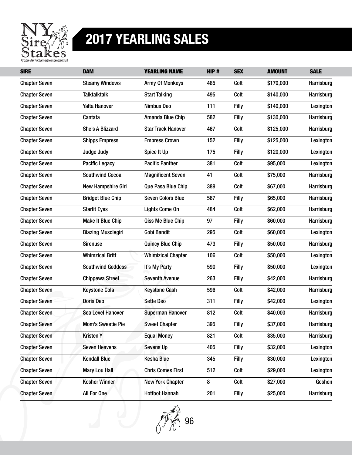

| <b>SIRE</b>          | <b>DAM</b>                | <b>YEARLING NAME</b>      | HIP# | <b>SEX</b>   | <b>AMOUNT</b> | <b>SALE</b> |
|----------------------|---------------------------|---------------------------|------|--------------|---------------|-------------|
| <b>Chapter Seven</b> | <b>Steamy Windows</b>     | <b>Army Of Monkeys</b>    | 485  | Colt         | \$170,000     | Harrisburg  |
| <b>Chapter Seven</b> | <b>Talktalktalk</b>       | <b>Start Talking</b>      | 495  | Colt         | \$140,000     | Harrisburg  |
| <b>Chapter Seven</b> | <b>Yalta Hanover</b>      | <b>Nimbus Deo</b>         | 111  | <b>Filly</b> | \$140,000     | Lexington   |
| <b>Chapter Seven</b> | Cantata                   | Amanda Blue Chip          | 582  | <b>Filly</b> | \$130,000     | Harrisburg  |
| <b>Chapter Seven</b> | She's A Blizzard          | <b>Star Track Hanover</b> | 467  | Colt         | \$125,000     | Harrisburg  |
| <b>Chapter Seven</b> | <b>Shipps Empress</b>     | <b>Empress Crown</b>      | 152  | <b>Filly</b> | \$125,000     | Lexington   |
| <b>Chapter Seven</b> | Judge Judy                | Spice It Up               | 175  | Filly        | \$120,000     | Lexington   |
| <b>Chapter Seven</b> | <b>Pacific Legacy</b>     | <b>Pacific Panther</b>    | 381  | Colt         | \$95,000      | Lexington   |
| <b>Chapter Seven</b> | <b>Southwind Cocoa</b>    | <b>Magnificent Seven</b>  | 41   | Colt         | \$75,000      | Harrisburg  |
| <b>Chapter Seven</b> | <b>New Hampshire Girl</b> | Que Pasa Blue Chip        | 389  | Colt         | \$67,000      | Harrisburg  |
| <b>Chapter Seven</b> | <b>Bridget Blue Chip</b>  | <b>Seven Colors Blue</b>  | 567  | <b>Filly</b> | \$65,000      | Harrisburg  |
| <b>Chapter Seven</b> | <b>Starlit Eyes</b>       | <b>Lights Come On</b>     | 484  | Colt         | \$62,000      | Harrisburg  |
| <b>Chapter Seven</b> | <b>Make It Blue Chip</b>  | Qiss Me Blue Chip         | 97   | <b>Filly</b> | \$60,000      | Harrisburg  |
| <b>Chapter Seven</b> | <b>Blazing Musclegirl</b> | <b>Gobi Bandit</b>        | 295  | Colt         | \$60,000      | Lexington   |
| <b>Chapter Seven</b> | <b>Sirenuse</b>           | <b>Quincy Blue Chip</b>   | 473  | <b>Filly</b> | \$50,000      | Harrisburg  |
| <b>Chapter Seven</b> | <b>Whimzical Britt</b>    | <b>Whimizical Chapter</b> | 106  | Colt         | \$50,000      | Lexington   |
| <b>Chapter Seven</b> | <b>Southwind Goddess</b>  | It's My Party             | 590  | Filly        | \$50,000      | Lexington   |
| <b>Chapter Seven</b> | <b>Chippewa Street</b>    | <b>Seventh Avenue</b>     | 263  | <b>Filly</b> | \$42,000      | Harrisburg  |
| <b>Chapter Seven</b> | <b>Keystone Cola</b>      | <b>Keystone Cash</b>      | 596  | Colt         | \$42,000      | Harrisburg  |
| <b>Chapter Seven</b> | <b>Doris Deo</b>          | <b>Sette Deo</b>          | 311  | <b>Filly</b> | \$42,000      | Lexington   |
| <b>Chapter Seven</b> | Sea Level Hanover         | <b>Superman Hanover</b>   | 812  | Colt         | \$40,000      | Harrisburg  |
| <b>Chapter Seven</b> | <b>Mom's Sweetie Pie</b>  | <b>Sweet Chapter</b>      | 395  | <b>Filly</b> | \$37,000      | Harrisburg  |
| <b>Chapter Seven</b> | <b>Kristen Y</b>          | <b>Equal Money</b>        | 821  | Colt         | \$35,000      | Harrisburg  |
| <b>Chapter Seven</b> | <b>Seven Heavens</b>      | <b>Sevens Up</b>          | 405  | <b>Filly</b> | \$32,000      | Lexington   |
| <b>Chapter Seven</b> | <b>Kendall Blue</b>       | <b>Kesha Blue</b>         | 345  | <b>Filly</b> | \$30,000      | Lexington   |
| <b>Chapter Seven</b> | Mary Lou Hall             | <b>Chris Comes First</b>  | 512  | Colt         | \$29,000      | Lexington   |
| <b>Chapter Seven</b> | <b>Kosher Winner</b>      | <b>New York Chapter</b>   | 8    | Colt         | \$27,000      | Goshen      |
| <b>Chapter Seven</b> | All For One               | <b>Hotfoot Hannah</b>     | 201  | <b>Filly</b> | \$25,000      | Harrisburg  |

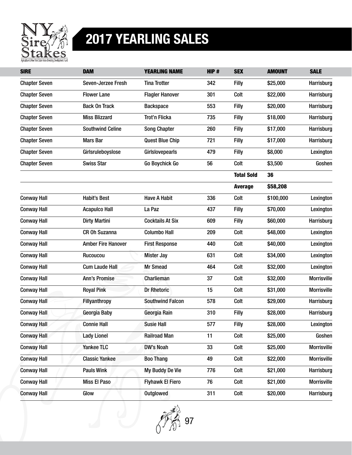

| <b>SIRE</b>          | <b>DAM</b>                | <b>YEARLING NAME</b>    | HIP# | <b>SEX</b>        | <b>AMOUNT</b> | <b>SALE</b>        |
|----------------------|---------------------------|-------------------------|------|-------------------|---------------|--------------------|
| <b>Chapter Seven</b> | Seven-Jerzee Fresh        | <b>Tina Trotter</b>     | 342  | Filly             | \$25,000      | Harrisburg         |
| <b>Chapter Seven</b> | <b>Flower Lane</b>        | <b>Flagler Hanover</b>  | 301  | Colt              | \$22,000      | Harrisburg         |
| <b>Chapter Seven</b> | <b>Back On Track</b>      | <b>Backspace</b>        | 553  | <b>Filly</b>      | \$20,000      | Harrisburg         |
| <b>Chapter Seven</b> | <b>Miss Blizzard</b>      | Trot'n Flicka           | 735  | Filly             | \$18,000      | Harrisburg         |
| <b>Chapter Seven</b> | <b>Southwind Celine</b>   | <b>Song Chapter</b>     | 260  | <b>Filly</b>      | \$17,000      | Harrisburg         |
| <b>Chapter Seven</b> | <b>Mars Bar</b>           | <b>Quest Blue Chip</b>  | 721  | <b>Filly</b>      | \$17,000      | Harrisburg         |
| <b>Chapter Seven</b> | Girlsruleboyslose         | Girlslovepearls         | 479  | <b>Filly</b>      | \$8,000       | Lexington          |
| <b>Chapter Seven</b> | <b>Swiss Star</b>         | Go Boychick Go          | 56   | Colt              | \$3,500       | Goshen             |
|                      |                           |                         |      | <b>Total Sold</b> | 36            |                    |
|                      |                           |                         |      | <b>Average</b>    | \$58,208      |                    |
| <b>Conway Hall</b>   | <b>Habit's Best</b>       | <b>Have A Habit</b>     | 336  | Colt              | \$100,000     | Lexington          |
| <b>Conway Hall</b>   | <b>Acapulco Hall</b>      | La Paz                  | 437  | <b>Filly</b>      | \$70,000      | Lexington          |
| <b>Conway Hall</b>   | <b>Dirty Martini</b>      | <b>Cocktails At Six</b> | 609  | <b>Filly</b>      | \$60,000      | Harrisburg         |
| <b>Conway Hall</b>   | <b>CR Oh Suzanna</b>      | <b>Columbo Hall</b>     | 209  | Colt              | \$48,000      | Lexington          |
| <b>Conway Hall</b>   | <b>Amber Fire Hanover</b> | <b>First Response</b>   | 440  | Colt              | \$40,000      | Lexington          |
| <b>Conway Hall</b>   | Rucoucou                  | <b>Mister Jay</b>       | 631  | Colt              | \$34,000      | Lexington          |
| <b>Conway Hall</b>   | <b>Cum Laude Hall</b>     | <b>Mr Smead</b>         | 464  | Colt              | \$32,000      | Lexington          |
| <b>Conway Hall</b>   | <b>Ann's Promise</b>      | Charlieman              | 37   | Colt              | \$32,000      | <b>Morrisville</b> |
| <b>Conway Hall</b>   | <b>Royal Pink</b>         | <b>Dr Rhetoric</b>      | 15   | Colt              | \$31,000      | <b>Morrisville</b> |
| <b>Conway Hall</b>   | <b>Fillyanthropy</b>      | <b>Southwind Falcon</b> | 578  | Colt              | \$29,000      | Harrisburg         |
| <b>Conway Hall</b>   | Georgia Baby              | Georgia Rain            | 310  | <b>Filly</b>      | \$28,000      | Harrisburg         |
| <b>Conway Hall</b>   | <b>Connie Hall</b>        | <b>Susie Hall</b>       | 577  | <b>Filly</b>      | \$28,000      | Lexington          |
| <b>Conway Hall</b>   | <b>Lady Lionel</b>        | <b>Railroad Man</b>     | 11   | Colt              | \$25,000      | Goshen             |
| <b>Conway Hall</b>   | <b>Yankee TLC</b>         | <b>DW's Noah</b>        | 33   | Colt              | \$25,000      | <b>Morrisville</b> |
| <b>Conway Hall</b>   | <b>Classic Yankee</b>     | <b>Boo Thang</b>        | 49   | Colt              | \$22,000      | <b>Morrisville</b> |
| <b>Conway Hall</b>   | <b>Pauls Wink</b>         | My Buddy De Vie         | 776  | Colt              | \$21,000      | Harrisburg         |
| <b>Conway Hall</b>   | <b>Miss El Paso</b>       | <b>Flyhawk El Fiero</b> | 76   | Colt              | \$21,000      | Morrisville        |
| <b>Conway Hall</b>   | Glow                      | Outglowed               | 311  | Colt              | \$20,000      | Harrisburg         |

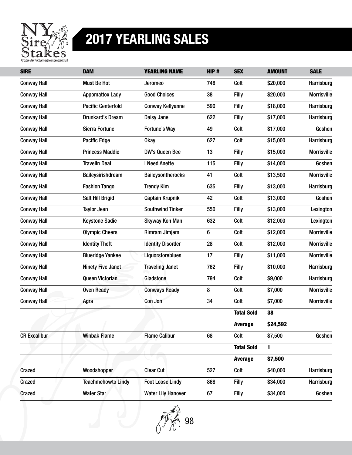

| <b>SIRE</b>         | <b>DAM</b>                | <b>YEARLING NAME</b>      | HIP# | <b>SEX</b>        | <b>AMOUNT</b> | <b>SALE</b>        |
|---------------------|---------------------------|---------------------------|------|-------------------|---------------|--------------------|
| <b>Conway Hall</b>  | Must Be Hot               | Jeromeo                   | 748  | Colt              | \$20,000      | Harrisburg         |
| <b>Conway Hall</b>  | <b>Appomattox Lady</b>    | <b>Good Choices</b>       | 38   | <b>Filly</b>      | \$20,000      | <b>Morrisville</b> |
| <b>Conway Hall</b>  | <b>Pacific Centerfold</b> | <b>Conway Kellyanne</b>   | 590  | <b>Filly</b>      | \$18,000      | Harrisburg         |
| <b>Conway Hall</b>  | <b>Drunkard's Dream</b>   | Daisy Jane                | 622  | <b>Filly</b>      | \$17,000      | Harrisburg         |
| <b>Conway Hall</b>  | Sierra Fortune            | Fortune's Way             | 49   | Colt              | \$17,000      | Goshen             |
| <b>Conway Hall</b>  | <b>Pacific Edge</b>       | 0kay                      | 627  | Colt              | \$15,000      | Harrisburg         |
| <b>Conway Hall</b>  | <b>Princess Maddie</b>    | DW's Queen Bee            | 13   | <b>Filly</b>      | \$15,000      | <b>Morrisville</b> |
| <b>Conway Hall</b>  | <b>Travelin Deal</b>      | I Need Anette             | 115  | <b>Filly</b>      | \$14,000      | Goshen             |
| <b>Conway Hall</b>  | Baileysirishdream         | <b>Baileysontherocks</b>  | 41   | Colt              | \$13,500      | <b>Morrisville</b> |
| <b>Conway Hall</b>  | <b>Fashion Tango</b>      | <b>Trendy Kim</b>         | 635  | <b>Filly</b>      | \$13,000      | Harrisburg         |
| <b>Conway Hall</b>  | Salt Hill Brigid          | <b>Captain Krupnik</b>    | 42   | Colt              | \$13,000      | Goshen             |
| <b>Conway Hall</b>  | <b>Taylor Jean</b>        | <b>Southwind Tinker</b>   | 550  | Filly             | \$13,000      | Lexington          |
| <b>Conway Hall</b>  | <b>Keystone Sadie</b>     | Skyway Kon Man            | 632  | Colt              | \$12,000      | Lexington          |
| <b>Conway Hall</b>  | <b>Olympic Cheers</b>     | Rimram Jimjam             | 6    | Colt              | \$12,000      | <b>Morrisville</b> |
| <b>Conway Hall</b>  | <b>Identity Theft</b>     | <b>Identity Disorder</b>  | 28   | Colt              | \$12,000      | <b>Morrisville</b> |
| <b>Conway Hall</b>  | <b>Blueridge Yankee</b>   | Liquorstoreblues          | 17   | <b>Filly</b>      | \$11,000      | <b>Morrisville</b> |
| <b>Conway Hall</b>  | Ninety Five Janet         | <b>Traveling Janet</b>    | 762  | <b>Filly</b>      | \$10,000      | Harrisburg         |
| <b>Conway Hall</b>  | <b>Queen Victorian</b>    | Gladstone                 | 794  | Colt              | \$9,000       | Harrisburg         |
| <b>Conway Hall</b>  | <b>Oven Ready</b>         | <b>Conways Ready</b>      | 8    | Colt              | \$7,000       | <b>Morrisville</b> |
| <b>Conway Hall</b>  | Agra                      | Con Jon                   | 34   | Colt              | \$7,000       | <b>Morrisville</b> |
|                     |                           |                           |      | <b>Total Sold</b> | 38            |                    |
|                     |                           |                           |      | <b>Average</b>    | \$24,592      |                    |
| <b>CR Excalibur</b> | <b>Winbak Flame</b>       | <b>Flame Calibur</b>      | 68   | Colt              | \$7,500       | Goshen             |
|                     |                           |                           |      | <b>Total Sold</b> | 1             |                    |
|                     |                           |                           |      | <b>Average</b>    | \$7,500       |                    |
| Crazed              | Woodshopper               | <b>Clear Cut</b>          | 527  | Colt              | \$40,000      | Harrisburg         |
| Crazed              | <b>Teachmehowto Lindy</b> | <b>Foot Loose Lindy</b>   | 868  | <b>Filly</b>      | \$34,000      | Harrisburg         |
| <b>Crazed</b>       | <b>Water Star</b>         | <b>Water Lily Hanover</b> | 67   | <b>Filly</b>      | \$34,000      | Goshen             |

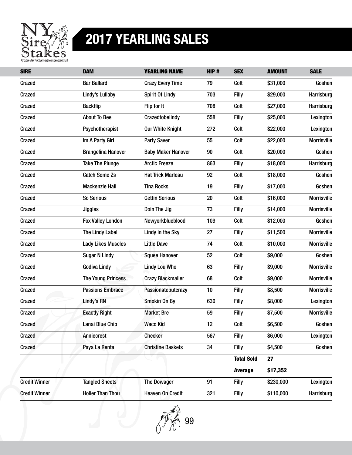

| <b>SIRE</b>          | <b>DAM</b>                | <b>YEARLING NAME</b>      | HIP# | <b>SEX</b>        | <b>AMOUNT</b> | <b>SALE</b>        |
|----------------------|---------------------------|---------------------------|------|-------------------|---------------|--------------------|
| Crazed               | <b>Bar Ballard</b>        | <b>Crazy Every Time</b>   | 79   | Colt              | \$31,000      | Goshen             |
| <b>Crazed</b>        | Lindy's Lullaby           | <b>Spirit Of Lindy</b>    | 703  | <b>Filly</b>      | \$29,000      | Harrisburg         |
| Crazed               | <b>Backflip</b>           | Flip for It               | 708  | Colt              | \$27,000      | Harrisburg         |
| Crazed               | <b>About To Bee</b>       | Crazedtobelindy           | 558  | <b>Filly</b>      | \$25,000      | Lexington          |
| <b>Crazed</b>        | Psychotherapist           | <b>Our White Knight</b>   | 272  | Colt              | \$22,000      | Lexington          |
| Crazed               | Im A Party Girl           | <b>Party Saver</b>        | 55   | Colt              | \$22,000      | <b>Morrisville</b> |
| Crazed               | <b>Brangelina Hanover</b> | <b>Baby Maker Hanover</b> | 90   | Colt              | \$20,000      | Goshen             |
| <b>Crazed</b>        | <b>Take The Plunge</b>    | <b>Arctic Freeze</b>      | 863  | <b>Filly</b>      | \$18,000      | Harrisburg         |
| Crazed               | <b>Catch Some Zs</b>      | <b>Hat Trick Marleau</b>  | 92   | Colt              | \$18,000      | Goshen             |
| Crazed               | <b>Mackenzie Hall</b>     | <b>Tina Rocks</b>         | 19   | <b>Filly</b>      | \$17,000      | Goshen             |
| <b>Crazed</b>        | So Serious                | <b>Gettin Serious</b>     | 20   | Colt              | \$16,000      | <b>Morrisville</b> |
| Crazed               | <b>Jiggles</b>            | Doin The Jig              | 73   | Filly             | \$14,000      | <b>Morrisville</b> |
| Crazed               | <b>Fox Valley London</b>  | Newyorkblueblood          | 109  | Colt              | \$12,000      | Goshen             |
| <b>Crazed</b>        | The Lindy Label           | Lindy In the Sky          | 27   | <b>Filly</b>      | \$11,500      | <b>Morrisville</b> |
| Crazed               | <b>Lady Likes Muscles</b> | <b>Little Dave</b>        | 74   | Colt              | \$10,000      | <b>Morrisville</b> |
| Crazed               | <b>Sugar N Lindy</b>      | <b>Squee Hanover</b>      | 52   | Colt              | \$9,000       | Goshen             |
| <b>Crazed</b>        | <b>Godiva Lindy</b>       | <b>Lindy Lou Who</b>      | 63   | <b>Filly</b>      | \$9,000       | <b>Morrisville</b> |
| Crazed               | <b>The Young Princess</b> | <b>Crazy Blackmailer</b>  | 68   | Colt              | \$9,000       | <b>Morrisville</b> |
| Crazed               | <b>Passions Embrace</b>   | Passionatebutcrazy        | 10   | Filly             | \$8,500       | <b>Morrisville</b> |
| Crazed               | Lindy's RN                | Smokin On By              | 630  | Filly             | \$8,000       | Lexington          |
| Crazed               | <b>Exactly Right</b>      | <b>Market Bre</b>         | 59   | <b>Filly</b>      | \$7,500       | <b>Morrisville</b> |
| <b>Crazed</b>        | Lanai Blue Chip           | <b>Waco Kid</b>           | 12   | Colt              | \$6,500       | Goshen             |
| Crazed               | Anniecrest                | <b>Checker</b>            | 567  | <b>Filly</b>      | \$6,000       | Lexington          |
| Crazed               | Paya La Renta             | <b>Christine Baskets</b>  | 34   | <b>Filly</b>      | \$4,500       | Goshen             |
|                      |                           |                           |      | <b>Total Sold</b> | 27            |                    |
|                      |                           |                           |      | <b>Average</b>    | \$17,352      |                    |
| <b>Credit Winner</b> | <b>Tangled Sheets</b>     | <b>The Dowager</b>        | 91   | <b>Filly</b>      | \$230,000     | Lexington          |
| <b>Credit Winner</b> | <b>Holier Than Thou</b>   | <b>Heaven On Credit</b>   | 321  | <b>Filly</b>      | \$110,000     | Harrisburg         |

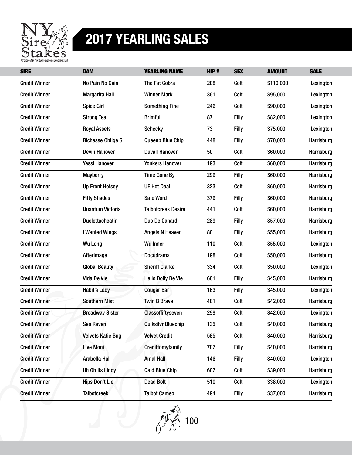

| <b>SIRE</b>          | <b>DAM</b>               | <b>YEARLING NAME</b>      | HIP# | <b>SEX</b>   | <b>AMOUNT</b> | <b>SALE</b> |
|----------------------|--------------------------|---------------------------|------|--------------|---------------|-------------|
| <b>Credit Winner</b> | No Pain No Gain          | The Fat Cobra             | 208  | Colt         | \$110,000     | Lexington   |
| <b>Credit Winner</b> | Margarita Hall           | <b>Winner Mark</b>        | 361  | Colt         | \$95,000      | Lexington   |
| <b>Credit Winner</b> | <b>Spice Girl</b>        | <b>Something Fine</b>     | 246  | Colt         | \$90,000      | Lexington   |
| <b>Credit Winner</b> | <b>Strong Tea</b>        | <b>Brimfull</b>           | 87   | <b>Filly</b> | \$82,000      | Lexington   |
| <b>Credit Winner</b> | <b>Royal Assets</b>      | <b>Schecky</b>            | 73   | Filly        | \$75,000      | Lexington   |
| <b>Credit Winner</b> | <b>Richesse Oblige S</b> | <b>Queenb Blue Chip</b>   | 448  | Filly        | \$70,000      | Harrisburg  |
| <b>Credit Winner</b> | <b>Devin Hanover</b>     | <b>Duvall Hanover</b>     | 50   | Colt         | \$60,000      | Harrisburg  |
| <b>Credit Winner</b> | Yassi Hanover            | <b>Yonkers Hanover</b>    | 193  | Colt         | \$60,000      | Harrisburg  |
| <b>Credit Winner</b> | <b>Mayberry</b>          | <b>Time Gone By</b>       | 299  | Filly        | \$60,000      | Harrisburg  |
| <b>Credit Winner</b> | <b>Up Front Hotsey</b>   | <b>UF Hot Deal</b>        | 323  | Colt         | \$60,000      | Harrisburg  |
| <b>Credit Winner</b> | <b>Fifty Shades</b>      | Safe Word                 | 379  | <b>Filly</b> | \$60,000      | Harrisburg  |
| <b>Credit Winner</b> | <b>Quantum Victoria</b>  | <b>Talbotcreek Desire</b> | 441  | Colt         | \$60,000      | Harrisburg  |
| <b>Credit Winner</b> | <b>Duolottacheatin</b>   | Duo De Canard             | 289  | <b>Filly</b> | \$57,000      | Harrisburg  |
| <b>Credit Winner</b> | I Wanted Wings           | Angels N Heaven           | 80   | Filly        | \$55,000      | Harrisburg  |
| <b>Credit Winner</b> | <b>Wu Long</b>           | <b>Wu Inner</b>           | 110  | Colt         | \$55,000      | Lexington   |
| <b>Credit Winner</b> | Afterimage               | <b>Docudrama</b>          | 198  | Colt         | \$50,000      | Harrisburg  |
| <b>Credit Winner</b> | <b>Global Beauty</b>     | <b>Sheriff Clarke</b>     | 334  | Colt         | \$50,000      | Lexington   |
| <b>Credit Winner</b> | Vida De Vie              | <b>Hello Dolly De Vie</b> | 601  | <b>Filly</b> | \$45,000      | Harrisburg  |
| <b>Credit Winner</b> | <b>Habit's Lady</b>      | <b>Cougar Bar</b>         | 163  | Filly        | \$45,000      | Lexington   |
| <b>Credit Winner</b> | <b>Southern Mist</b>     | <b>Twin B Brave</b>       | 481  | Colt         | \$42,000      | Harrisburg  |
| <b>Credit Winner</b> | <b>Broadway Sister</b>   | Classoffiftyseven         | 299  | Colt         | \$42,000      | Lexington   |
| <b>Credit Winner</b> | Sea Raven                | <b>Quiksilvr Bluechip</b> | 135  | Colt         | \$40,000      | Harrisburg  |
| <b>Credit Winner</b> | <b>Velvets Katie Bug</b> | <b>Velvet Credit</b>      | 585  | Colt         | \$40,000      | Harrisburg  |
| <b>Credit Winner</b> | <b>Live Moni</b>         | Credittomyfamily          | 707  | <b>Filly</b> | \$40,000      | Harrisburg  |
| <b>Credit Winner</b> | Arabella Hall            | <b>Amal Hall</b>          | 146  | <b>Filly</b> | \$40,000      | Lexington   |
| <b>Credit Winner</b> | Uh Oh Its Lindy          | <b>Qaid Blue Chip</b>     | 607  | Colt         | \$39,000      | Harrisburg  |
| <b>Credit Winner</b> | <b>Hips Don't Lie</b>    | <b>Dead Bolt</b>          | 510  | Colt         | \$38,000      | Lexington   |
| <b>Credit Winner</b> | <b>Talbotcreek</b>       | <b>Talbot Cameo</b>       | 494  | <b>Filly</b> | \$37,000      | Harrisburg  |

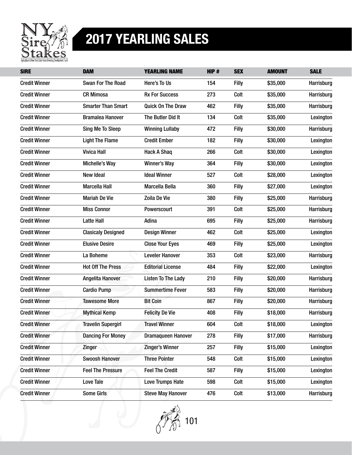

| <b>SIRE</b>          | <b>DAM</b>                | <b>YEARLING NAME</b>      | HIP# | <b>SEX</b>   | <b>AMOUNT</b> | <b>SALE</b> |
|----------------------|---------------------------|---------------------------|------|--------------|---------------|-------------|
| <b>Credit Winner</b> | <b>Swan For The Road</b>  | Here's To Us              | 154  | <b>Filly</b> | \$35,000      | Harrisburg  |
| <b>Credit Winner</b> | <b>CR Mimosa</b>          | <b>Rx For Success</b>     | 273  | Colt         | \$35,000      | Harrisburg  |
| <b>Credit Winner</b> | <b>Smarter Than Smart</b> | <b>Quick On The Draw</b>  | 462  | <b>Filly</b> | \$35,000      | Harrisburg  |
| <b>Credit Winner</b> | <b>Bramalea Hanover</b>   | The Butler Did It         | 134  | Colt         | \$35,000      | Lexington   |
| <b>Credit Winner</b> | Sing Me To Sleep          | <b>Winning Lullaby</b>    | 472  | Filly        | \$30,000      | Harrisburg  |
| <b>Credit Winner</b> | <b>Light The Flame</b>    | <b>Credit Ember</b>       | 182  | <b>Filly</b> | \$30,000      | Lexington   |
| <b>Credit Winner</b> | <b>Vivica Hall</b>        | <b>Hack A Shaq</b>        | 266  | Colt         | \$30,000      | Lexington   |
| <b>Credit Winner</b> | Michelle's Way            | Winner's Way              | 364  | <b>Filly</b> | \$30,000      | Lexington   |
| <b>Credit Winner</b> | New Ideal                 | <b>Ideal Winner</b>       | 527  | Colt         | \$28,000      | Lexington   |
| <b>Credit Winner</b> | <b>Marcella Hall</b>      | Marcella Bella            | 360  | Filly        | \$27,000      | Lexington   |
| <b>Credit Winner</b> | <b>Mariah De Vie</b>      | Zoila De Vie              | 380  | Filly        | \$25,000      | Harrisburg  |
| <b>Credit Winner</b> | <b>Miss Connor</b>        | Powerscourt               | 391  | Colt         | \$25,000      | Harrisburg  |
| <b>Credit Winner</b> | <b>Latte Hall</b>         | Adina                     | 695  | Filly        | \$25,000      | Harrisburg  |
| <b>Credit Winner</b> | <b>Clasicaly Designed</b> | <b>Design Winner</b>      | 462  | Colt         | \$25,000      | Lexington   |
| <b>Credit Winner</b> | <b>Elusive Desire</b>     | <b>Close Your Eyes</b>    | 469  | Filly        | \$25,000      | Lexington   |
| <b>Credit Winner</b> | La Boheme                 | <b>Leveler Hanover</b>    | 353  | Colt         | \$23,000      | Harrisburg  |
| <b>Credit Winner</b> | <b>Hot Off The Press</b>  | <b>Editorial License</b>  | 484  | Filly        | \$22,000      | Lexington   |
| <b>Credit Winner</b> | Angelita Hanover          | <b>Listen To The Lady</b> | 210  | Filly        | \$20,000      | Harrisburg  |
| <b>Credit Winner</b> | <b>Cardio Pump</b>        | <b>Summertime Fever</b>   | 583  | Filly        | \$20,000      | Harrisburg  |
| <b>Credit Winner</b> | <b>Tawesome More</b>      | <b>Bit Coin</b>           | 867  | Filly        | \$20,000      | Harrisburg  |
| <b>Credit Winner</b> | <b>Mythical Kemp</b>      | <b>Felicity De Vie</b>    | 408  | <b>Filly</b> | \$18,000      | Harrisburg  |
| <b>Credit Winner</b> | <b>Travelin Supergirl</b> | <b>Travel Winner</b>      | 604  | Colt         | \$18,000      | Lexington   |
| <b>Credit Winner</b> | <b>Dancing For Money</b>  | <b>Dramaqueen Hanover</b> | 278  | <b>Filly</b> | \$17,000      | Harrisburg  |
| <b>Credit Winner</b> | <b>Zinger</b>             | <b>Zinger's Winner</b>    | 257  | <b>Filly</b> | \$15,000      | Lexington   |
| <b>Credit Winner</b> | <b>Swoosh Hanover</b>     | <b>Three Pointer</b>      | 548  | Colt         | \$15,000      | Lexington   |
| <b>Credit Winner</b> | <b>Feel The Pressure</b>  | <b>Feel The Credit</b>    | 587  | <b>Filly</b> | \$15,000      | Lexington   |
| <b>Credit Winner</b> | Love Tale                 | <b>Love Trumps Hate</b>   | 598  | Colt         | \$15,000      | Lexington   |
| <b>Credit Winner</b> | Some Girls                | <b>Steve May Hanover</b>  | 476  | Colt         | \$13,000      | Harrisburg  |

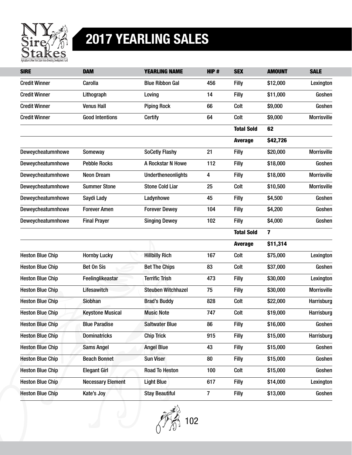

| <b>SIRE</b>             | <b>DAM</b>               | <b>YEARLING NAME</b>      | HIP#           | <b>SEX</b>        | <b>AMOUNT</b> | <b>SALE</b>        |
|-------------------------|--------------------------|---------------------------|----------------|-------------------|---------------|--------------------|
| <b>Credit Winner</b>    | Carolla                  | <b>Blue Ribbon Gal</b>    | 456            | Filly             | \$12,000      | Lexington          |
| <b>Credit Winner</b>    | Lithograph               | Loving                    | 14             | Filly             | \$11,000      | Goshen             |
| <b>Credit Winner</b>    | <b>Venus Hall</b>        | <b>Piping Rock</b>        | 66             | Colt              | \$9,000       | Goshen             |
| <b>Credit Winner</b>    | <b>Good Intentions</b>   | <b>Certify</b>            | 64             | Colt              | \$9,000       | <b>Morrisville</b> |
|                         |                          |                           |                | <b>Total Sold</b> | 62            |                    |
|                         |                          |                           |                | <b>Average</b>    | \$42,726      |                    |
| Deweycheatumnhowe       | Someway                  | <b>SoCetly Flashy</b>     | 21             | Filly             | \$20,000      | <b>Morrisville</b> |
| Deweycheatumnhowe       | <b>Pebble Rocks</b>      | A Rockstar N Howe         | 112            | Filly             | \$18,000      | Goshen             |
| Deweycheatumnhowe       | <b>Neon Dream</b>        | <b>Undertheneonlights</b> | 4              | <b>Filly</b>      | \$18,000      | <b>Morrisville</b> |
| Deweycheatumnhowe       | <b>Summer Stone</b>      | <b>Stone Cold Liar</b>    | 25             | Colt              | \$10,500      | <b>Morrisville</b> |
| Deweycheatumnhowe       | Saydi Lady               | Ladynhowe                 | 45             | <b>Filly</b>      | \$4,500       | Goshen             |
| Deweycheatumnhowe       | <b>Forever Amen</b>      | <b>Forever Dewey</b>      | 104            | <b>Filly</b>      | \$4,200       | Goshen             |
| Deweycheatumnhowe       | <b>Final Prayer</b>      | <b>Singing Dewey</b>      | 102            | <b>Filly</b>      | \$4,000       | Goshen             |
|                         |                          |                           |                | <b>Total Sold</b> | 7             |                    |
|                         |                          |                           |                | <b>Average</b>    | \$11,314      |                    |
| <b>Heston Blue Chip</b> | <b>Hornby Lucky</b>      | <b>Hillbilly Rich</b>     | 167            | Colt              | \$75,000      | Lexington          |
| <b>Heston Blue Chip</b> | Bet On Sis               | <b>Bet The Chips</b>      | 83             | Colt              | \$37,000      | Goshen             |
| <b>Heston Blue Chip</b> | Feelinglikeastar         | <b>Terrific Trish</b>     | 473            | <b>Filly</b>      | \$30,000      | Lexington          |
| <b>Heston Blue Chip</b> | Lifesawitch              | <b>Steuben Witchhazel</b> | 75             | <b>Filly</b>      | \$30,000      | <b>Morrisville</b> |
| <b>Heston Blue Chip</b> | <b>Siobhan</b>           | <b>Brad's Buddy</b>       | 828            | Colt              | \$22,000      | Harrisburg         |
| <b>Heston Blue Chip</b> | <b>Keystone Musical</b>  | <b>Music Note</b>         | 747            | Colt              | \$19,000      | Harrisburg         |
| <b>Heston Blue Chip</b> | <b>Blue Paradise</b>     | <b>Saltwater Blue</b>     | 86             | Filly             | \$16,000      | Goshen             |
| <b>Heston Blue Chip</b> | <b>Dominatricks</b>      | <b>Chip Trick</b>         | 915            | <b>Filly</b>      | \$15,000      | Harrisburg         |
| <b>Heston Blue Chip</b> | <b>Sams Angel</b>        | <b>Angel Blue</b>         | 43             | <b>Filly</b>      | \$15,000      | Goshen             |
| <b>Heston Blue Chip</b> | <b>Beach Bonnet</b>      | <b>Sun Viser</b>          | 80             | <b>Filly</b>      | \$15,000      | Goshen             |
| <b>Heston Blue Chip</b> | <b>Elegant Girl</b>      | <b>Road To Heston</b>     | 100            | Colt              | \$15,000      | Goshen             |
| <b>Heston Blue Chip</b> | <b>Necessary Element</b> | <b>Light Blue</b>         | 617            | <b>Filly</b>      | \$14,000      | Lexington          |
| <b>Heston Blue Chip</b> | Kate's Joy               | <b>Stay Beautiful</b>     | $\overline{7}$ | <b>Filly</b>      | \$13,000      | Goshen             |

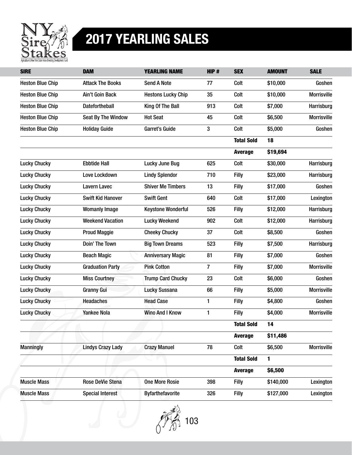

| <b>SIRE</b>             | <b>DAM</b>               | <b>YEARLING NAME</b>      | HIP# | <b>SEX</b>        | <b>AMOUNT</b> | <b>SALE</b>        |
|-------------------------|--------------------------|---------------------------|------|-------------------|---------------|--------------------|
| <b>Heston Blue Chip</b> | <b>Attack The Books</b>  | <b>Send A Note</b>        | 77   | Colt              | \$10,000      | Goshen             |
| <b>Heston Blue Chip</b> | Ain't Goin Back          | <b>Hestons Lucky Chip</b> | 35   | Colt              | \$10,000      | <b>Morrisville</b> |
| <b>Heston Blue Chip</b> | Datefortheball           | King Of The Ball          | 913  | Colt              | \$7,000       | Harrisburg         |
| <b>Heston Blue Chip</b> | Seat By The Window       | <b>Hot Seat</b>           | 45   | Colt              | \$6,500       | <b>Morrisville</b> |
| <b>Heston Blue Chip</b> | <b>Holiday Guide</b>     | <b>Garret's Guide</b>     | 3    | Colt              | \$5,000       | Goshen             |
|                         |                          |                           |      | <b>Total Sold</b> | 18            |                    |
|                         |                          |                           |      | <b>Average</b>    | \$19,694      |                    |
| <b>Lucky Chucky</b>     | <b>Ebbtide Hall</b>      | Lucky June Bug            | 625  | Colt              | \$30,000      | Harrisburg         |
| <b>Lucky Chucky</b>     | Love Lockdown            | <b>Lindy Splendor</b>     | 710  | Filly             | \$23,000      | Harrisburg         |
| <b>Lucky Chucky</b>     | <b>Lavern Lavec</b>      | <b>Shiver Me Timbers</b>  | 13   | <b>Filly</b>      | \$17,000      | Goshen             |
| <b>Lucky Chucky</b>     | <b>Swift Kid Hanover</b> | <b>Swift Gent</b>         | 640  | Colt              | \$17,000      | Lexington          |
| <b>Lucky Chucky</b>     | <b>Womanly Image</b>     | <b>Keystone Wonderful</b> | 526  | <b>Filly</b>      | \$12,000      | Harrisburg         |
| <b>Lucky Chucky</b>     | <b>Weekend Vacation</b>  | <b>Lucky Weekend</b>      | 902  | Colt              | \$12,000      | Harrisburg         |
| <b>Lucky Chucky</b>     | <b>Proud Maggie</b>      | <b>Cheeky Chucky</b>      | 37   | Colt              | \$8,500       | Goshen             |
| <b>Lucky Chucky</b>     | Doin' The Town           | <b>Big Town Dreams</b>    | 523  | Filly             | \$7,500       | Harrisburg         |
| <b>Lucky Chucky</b>     | <b>Beach Magic</b>       | <b>Anniversary Magic</b>  | 81   | Filly             | \$7,000       | Goshen             |
| <b>Lucky Chucky</b>     | <b>Graduation Party</b>  | <b>Pink Cotton</b>        | 7    | Filly             | \$7,000       | <b>Morrisville</b> |
| <b>Lucky Chucky</b>     | <b>Miss Courtney</b>     | <b>Trump Card Chucky</b>  | 23   | Colt              | \$6,000       | Goshen             |
| <b>Lucky Chucky</b>     | <b>Granny Gui</b>        | <b>Lucky Sussana</b>      | 66   | <b>Filly</b>      | \$5,000       | <b>Morrisville</b> |
| <b>Lucky Chucky</b>     | <b>Headaches</b>         | <b>Head Case</b>          | 1    | Filly             | \$4,800       | Goshen             |
| <b>Lucky Chucky</b>     | <b>Yankee Nola</b>       | <b>Wino And I Know</b>    | 1    | Filly             | \$4,000       | <b>Morrisville</b> |
|                         |                          |                           |      | <b>Total Sold</b> | 14            |                    |
|                         |                          |                           |      | <b>Average</b>    | \$11,486      |                    |
| <b>Manningly</b>        | <b>Lindys Crazy Lady</b> | <b>Crazy Manuel</b>       | 78   | Colt              | \$6,500       | <b>Morrisville</b> |
|                         |                          |                           |      | <b>Total Sold</b> | 1             |                    |
|                         |                          |                           |      | <b>Average</b>    | \$6,500       |                    |
| <b>Muscle Mass</b>      | Rose DeVie Stena         | <b>One More Rosie</b>     | 398  | Filly             | \$140,000     | Lexington          |
| <b>Muscle Mass</b>      | <b>Special Interest</b>  | <b>Byfarthefavorite</b>   | 326  | <b>Filly</b>      | \$127,000     | Lexington          |

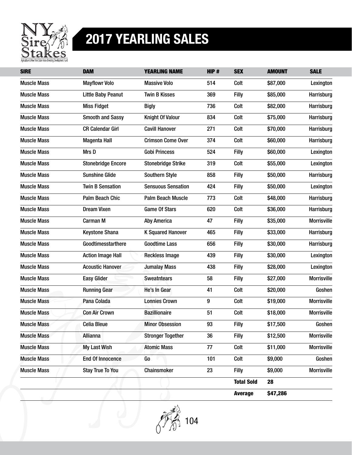

| <b>SIRE</b>        | <b>DAM</b>                | <b>YEARLING NAME</b>      | HIP# | <b>SEX</b>        | <b>AMOUNT</b> | <b>SALE</b>        |
|--------------------|---------------------------|---------------------------|------|-------------------|---------------|--------------------|
| <b>Muscle Mass</b> | <b>Mayflowr Volo</b>      | <b>Massive Volo</b>       | 514  | Colt              | \$87,000      | Lexington          |
| <b>Muscle Mass</b> | <b>Little Baby Peanut</b> | <b>Twin B Kisses</b>      | 369  | Filly             | \$85,000      | Harrisburg         |
| <b>Muscle Mass</b> | <b>Miss Fidget</b>        | <b>Bigly</b>              | 736  | Colt              | \$82,000      | Harrisburg         |
| <b>Muscle Mass</b> | <b>Smooth and Sassy</b>   | <b>Knight Of Valour</b>   | 834  | Colt              | \$75,000      | Harrisburg         |
| <b>Muscle Mass</b> | <b>CR Calendar Girl</b>   | <b>Cavill Hanover</b>     | 271  | Colt              | \$70,000      | Harrisburg         |
| <b>Muscle Mass</b> | <b>Magenta Hall</b>       | <b>Crimson Come Over</b>  | 374  | Colt              | \$60,000      | Harrisburg         |
| <b>Muscle Mass</b> | Mrs D                     | <b>Gobi Princess</b>      | 524  | <b>Filly</b>      | \$60,000      | Lexington          |
| <b>Muscle Mass</b> | <b>Stonebridge Encore</b> | <b>Stonebridge Strike</b> | 319  | Colt              | \$55,000      | Lexington          |
| <b>Muscle Mass</b> | <b>Sunshine Glide</b>     | <b>Southern Style</b>     | 858  | <b>Filly</b>      | \$50,000      | Harrisburg         |
| <b>Muscle Mass</b> | <b>Twin B Sensation</b>   | <b>Sensuous Sensation</b> | 424  | <b>Filly</b>      | \$50,000      | Lexington          |
| <b>Muscle Mass</b> | Palm Beach Chic           | <b>Palm Beach Muscle</b>  | 773  | Colt              | \$48,000      | Harrisburg         |
| <b>Muscle Mass</b> | <b>Dream Vixen</b>        | <b>Game Of Stars</b>      | 620  | Colt              | \$36,000      | Harrisburg         |
| <b>Muscle Mass</b> | Carman M                  | <b>Aby America</b>        | 47   | Filly             | \$35,000      | <b>Morrisville</b> |
| <b>Muscle Mass</b> | <b>Keystone Shana</b>     | <b>K Squared Hanover</b>  | 465  | Filly             | \$33,000      | Harrisburg         |
| <b>Muscle Mass</b> | Goodtimesstarthere        | <b>Goodtime Lass</b>      | 656  | <b>Filly</b>      | \$30,000      | Harrisburg         |
| <b>Muscle Mass</b> | <b>Action Image Hall</b>  | <b>Reckless Image</b>     | 439  | Filly             | \$30,000      | Lexington          |
| <b>Muscle Mass</b> | <b>Acoustic Hanover</b>   | <b>Jumalay Mass</b>       | 438  | Filly             | \$28,000      | Lexington          |
| <b>Muscle Mass</b> | <b>Easy Glider</b>        | <b>Sweatntears</b>        | 58   | <b>Filly</b>      | \$27,000      | <b>Morrisville</b> |
| <b>Muscle Mass</b> | <b>Running Gear</b>       | He's In Gear              | 41   | Colt              | \$20,000      | Goshen             |
| <b>Muscle Mass</b> | Pana Colada               | <b>Lonnies Crown</b>      | 9    | Colt              | \$19,000      | <b>Morrisville</b> |
| <b>Muscle Mass</b> | <b>Con Air Crown</b>      | <b>Bazillionaire</b>      | 51   | Colt              | \$18,000      | <b>Morrisville</b> |
| <b>Muscle Mass</b> | <b>Celia Bleue</b>        | <b>Minor Obsession</b>    | 93   | Filly             | \$17,500      | Goshen             |
| <b>Muscle Mass</b> | <b>Allianna</b>           | <b>Stronger Together</b>  | 36   | <b>Filly</b>      | \$12,500      | Morrisville        |
| <b>Muscle Mass</b> | My Last Wish              | <b>Atomic Mass</b>        | 77   | Colt              | \$11,000      | <b>Morrisville</b> |
| <b>Muscle Mass</b> | <b>End Of Innocence</b>   | Go                        | 101  | Colt              | \$9,000       | Goshen             |
| <b>Muscle Mass</b> | <b>Stay True To You</b>   | Chainsmoker               | 23   | <b>Filly</b>      | \$9,000       | Morrisville        |
|                    |                           |                           |      | <b>Total Sold</b> | 28            |                    |
|                    |                           |                           |      | <b>Average</b>    | \$47,286      |                    |

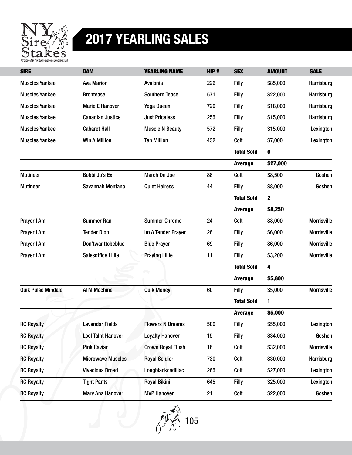

| <b>SIRE</b>               | <b>DAM</b>                | <b>YEARLING NAME</b>     | HIP# | <b>SEX</b>        | <b>AMOUNT</b> | <b>SALE</b>        |
|---------------------------|---------------------------|--------------------------|------|-------------------|---------------|--------------------|
| <b>Muscles Yankee</b>     | <b>Ava Marion</b>         | Avalonia                 | 226  | Filly             | \$85,000      | Harrisburg         |
| <b>Muscles Yankee</b>     | <b>Brontease</b>          | <b>Southern Tease</b>    | 571  | Filly             | \$22,000      | Harrisburg         |
| <b>Muscles Yankee</b>     | <b>Marie E Hanover</b>    | Yoga Queen               | 720  | Filly             | \$18,000      | Harrisburg         |
| <b>Muscles Yankee</b>     | <b>Canadian Justice</b>   | <b>Just Priceless</b>    | 255  | Filly             | \$15,000      | Harrisburg         |
| <b>Muscles Yankee</b>     | <b>Cabaret Hall</b>       | <b>Muscle N Beauty</b>   | 572  | Filly             | \$15,000      | Lexington          |
| <b>Muscles Yankee</b>     | <b>Win A Million</b>      | <b>Ten Million</b>       | 432  | Colt              | \$7,000       | Lexington          |
|                           |                           |                          |      | <b>Total Sold</b> | 6             |                    |
|                           |                           |                          |      | <b>Average</b>    | \$27,000      |                    |
| <b>Mutineer</b>           | Bobbi Jo's Ex             | March On Joe             | 88   | Colt              | \$8,500       | Goshen             |
| <b>Mutineer</b>           | Savannah Montana          | <b>Quiet Heiress</b>     | 44   | Filly             | \$8,000       | Goshen             |
|                           |                           |                          |      | <b>Total Sold</b> | 2             |                    |
|                           |                           |                          |      | <b>Average</b>    | \$8,250       |                    |
| Prayer I Am               | <b>Summer Ran</b>         | <b>Summer Chrome</b>     | 24   | Colt              | \$8,000       | <b>Morrisville</b> |
| Prayer I Am               | <b>Tender Dion</b>        | Im A Tender Prayer       | 26   | Filly             | \$6,000       | <b>Morrisville</b> |
| Prayer I Am               | Don'twanttobeblue         | <b>Blue Prayer</b>       | 69   | <b>Filly</b>      | \$6,000       | <b>Morrisville</b> |
| Prayer I Am               | <b>Salesoffice Lillie</b> | <b>Praying Lillie</b>    | 11   | Filly             | \$3,200       | <b>Morrisville</b> |
|                           |                           |                          |      | <b>Total Sold</b> | 4             |                    |
|                           |                           |                          |      | <b>Average</b>    | \$5,800       |                    |
| <b>Quik Pulse Mindale</b> | <b>ATM Machine</b>        | <b>Quik Money</b>        | 60   | Filly             | \$5,000       | <b>Morrisville</b> |
|                           |                           |                          |      | <b>Total Sold</b> | 1             |                    |
|                           |                           |                          |      | <b>Average</b>    | \$5,000       |                    |
| <b>RC Royalty</b>         | <b>Lavendar Fields</b>    | <b>Flowers N Dreams</b>  | 500  | Filly             | \$55,000      | Lexington          |
| <b>RC Royalty</b>         | <b>Locl Taint Hanover</b> | <b>Loyalty Hanover</b>   | 15   | <b>Filly</b>      | \$34,000      | Goshen             |
| <b>RC Royalty</b>         | <b>Pink Caviar</b>        | <b>Crown Royal Flush</b> | 16   | Colt              | \$32,000      | <b>Morrisville</b> |
| <b>RC Royalty</b>         | <b>Microwave Muscles</b>  | <b>Royal Soldier</b>     | 730  | Colt              | \$30,000      | Harrisburg         |
| <b>RC Royalty</b>         | <b>Vivacious Broad</b>    | Longblackcadillac        | 265  | Colt              | \$27,000      | Lexington          |
| <b>RC Royalty</b>         | <b>Tight Pants</b>        | <b>Royal Bikini</b>      | 645  | <b>Filly</b>      | \$25,000      | Lexington          |
| <b>RC Royalty</b>         | <b>Mary Ana Hanover</b>   | <b>MVP Hanover</b>       | 21   | Colt              | \$22,000      | Goshen             |

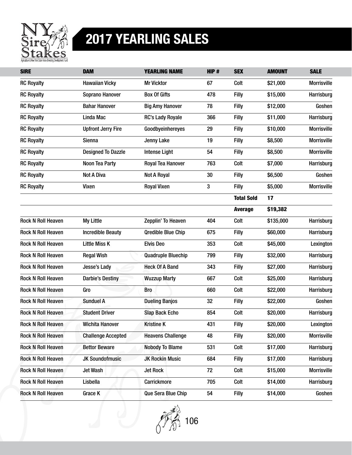

| <b>SIRE</b>               | <b>DAM</b>                | <b>YEARLING NAME</b>      | HIP# | <b>SEX</b>        | <b>AMOUNT</b> | <b>SALE</b>        |
|---------------------------|---------------------------|---------------------------|------|-------------------|---------------|--------------------|
| <b>RC Royalty</b>         | <b>Hawaiian Vicky</b>     | <b>Mr Vicktor</b>         | 67   | Colt              | \$21,000      | <b>Morrisville</b> |
| <b>RC Royalty</b>         | Soprano Hanover           | <b>Box Of Gifts</b>       | 478  | <b>Filly</b>      | \$15,000      | Harrisburg         |
| <b>RC Royalty</b>         | <b>Bahar Hanover</b>      | <b>Big Amy Hanover</b>    | 78   | <b>Filly</b>      | \$12,000      | Goshen             |
| <b>RC Royalty</b>         | Linda Mac                 | <b>RC's Lady Royale</b>   | 366  | Filly             | \$11,000      | Harrisburg         |
| <b>RC Royalty</b>         | <b>Upfront Jerry Fire</b> | Goodbyeinhereyes          | 29   | Filly             | \$10,000      | <b>Morrisville</b> |
| <b>RC Royalty</b>         | Sienna                    | Jenny Lake                | 19   | <b>Filly</b>      | \$8,500       | <b>Morrisville</b> |
| <b>RC Royalty</b>         | <b>Designed To Dazzle</b> | <b>Intense Light</b>      | 54   | Filly             | \$8,500       | <b>Morrisville</b> |
| <b>RC Royalty</b>         | Noon Tea Party            | Royal Tea Hanover         | 763  | Colt              | \$7,000       | Harrisburg         |
| <b>RC Royalty</b>         | <b>Not A Diva</b>         | <b>Not A Royal</b>        | 30   | <b>Filly</b>      | \$6,500       | Goshen             |
| <b>RC Royalty</b>         | Vixen                     | <b>Royal Vixen</b>        | 3    | Filly             | \$5,000       | <b>Morrisville</b> |
|                           |                           |                           |      | <b>Total Sold</b> | 17            |                    |
|                           |                           |                           |      | <b>Average</b>    | \$19,382      |                    |
| <b>Rock N Roll Heaven</b> | <b>My Little</b>          | Zepplin' To Heaven        | 404  | Colt              | \$135,000     | Harrisburg         |
| <b>Rock N Roll Heaven</b> | <b>Incredible Beauty</b>  | <b>Qredible Blue Chip</b> | 675  | <b>Filly</b>      | \$60,000      | Harrisburg         |
| <b>Rock N Roll Heaven</b> | Little Miss K             | <b>Elvis Deo</b>          | 353  | Colt              | \$45,000      | Lexington          |
| <b>Rock N Roll Heaven</b> | <b>Regal Wish</b>         | <b>Quadruple Bluechip</b> | 799  | Filly             | \$32,000      | Harrisburg         |
| <b>Rock N Roll Heaven</b> | Jesse's Lady              | <b>Heck Of A Band</b>     | 343  | Filly             | \$27,000      | Harrisburg         |
| <b>Rock N Roll Heaven</b> | <b>Darbie's Destiny</b>   | <b>Wuzzup Marty</b>       | 667  | Colt              | \$25,000      | Harrisburg         |
| <b>Rock N Roll Heaven</b> | Gro                       | <b>Bro</b>                | 660  | Colt              | \$22,000      | Harrisburg         |
| <b>Rock N Roll Heaven</b> | <b>Sunduel A</b>          | <b>Dueling Banjos</b>     | 32   | <b>Filly</b>      | \$22,000      | Goshen             |
| <b>Rock N Roll Heaven</b> | <b>Student Driver</b>     | <b>Slap Back Echo</b>     | 854  | Colt              | \$20,000      | Harrisburg         |
| <b>Rock N Roll Heaven</b> | Wichita Hanover           | <b>Kristine K</b>         | 431  | Filly             | \$20,000      | Lexington          |
| <b>Rock N Roll Heaven</b> | <b>Challenge Accepted</b> | <b>Heavens Challenge</b>  | 48   | <b>Filly</b>      | \$20,000      | <b>Morrisville</b> |
| <b>Rock N Roll Heaven</b> | <b>Bettor Beware</b>      | <b>Nobody To Blame</b>    | 531  | Colt              | \$17,000      | Harrisburg         |
| <b>Rock N Roll Heaven</b> | <b>JK Soundofmusic</b>    | <b>JK Rockin Music</b>    | 684  | <b>Filly</b>      | \$17,000      | Harrisburg         |
| <b>Rock N Roll Heaven</b> | Jet Wash                  | <b>Jet Rock</b>           | 72   | Colt              | \$15,000      | <b>Morrisville</b> |
| <b>Rock N Roll Heaven</b> | Lisbella                  | Carrickmore               | 705  | Colt              | \$14,000      | Harrisburg         |
| <b>Rock N Roll Heaven</b> | Grace K                   | Que Sera Blue Chip        | 54   | <b>Filly</b>      | \$14,000      | Goshen             |

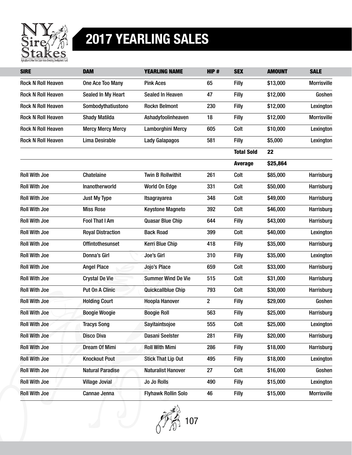

| <b>SIRE</b>               | <b>DAM</b>               | <b>YEARLING NAME</b>       | HIP#                    | <b>SEX</b>        | <b>AMOUNT</b> | <b>SALE</b>        |
|---------------------------|--------------------------|----------------------------|-------------------------|-------------------|---------------|--------------------|
| <b>Rock N Roll Heaven</b> | One Ace Too Many         | <b>Pink Aces</b>           | 65                      | <b>Filly</b>      | \$13,000      | <b>Morrisville</b> |
| <b>Rock N Roll Heaven</b> | Sealed In My Heart       | <b>Sealed In Heaven</b>    | 47                      | Filly             | \$12,000      | Goshen             |
| <b>Rock N Roll Heaven</b> | Sombodythatiustono       | <b>Rockn Belmont</b>       | 230                     | Filly             | \$12,000      | Lexington          |
| <b>Rock N Roll Heaven</b> | <b>Shady Matilda</b>     | Ashadyfoolinheaven         | 18                      | <b>Filly</b>      | \$12,000      | <b>Morrisville</b> |
| <b>Rock N Roll Heaven</b> | <b>Mercy Mercy Mercy</b> | Lamborghini Mercy          | 605                     | Colt              | \$10,000      | Lexington          |
| <b>Rock N Roll Heaven</b> | Lima Desirable           | <b>Lady Galapagos</b>      | 581                     | Filly             | \$5,000       | Lexington          |
|                           |                          |                            |                         | <b>Total Sold</b> | 22            |                    |
|                           |                          |                            |                         | <b>Average</b>    | \$25,864      |                    |
| <b>Roll With Joe</b>      | Chatelaine               | <b>Twin B Rollwithit</b>   | 261                     | Colt              | \$85,000      | Harrisburg         |
| <b>Roll With Joe</b>      | Inanotherworld           | World On Edge              | 331                     | Colt              | \$50,000      | Harrisburg         |
| <b>Roll With Joe</b>      | Just My Type             | <b>Itsagrayarea</b>        | 348                     | Colt              | \$49,000      | Harrisburg         |
| <b>Roll With Joe</b>      | <b>Miss Rose</b>         | <b>Keystone Magneto</b>    | 392                     | Colt              | \$46,000      | Harrisburg         |
| <b>Roll With Joe</b>      | <b>Fool That I Am</b>    | <b>Quasar Blue Chip</b>    | 644                     | <b>Filly</b>      | \$43,000      | Harrisburg         |
| <b>Roll With Joe</b>      | <b>Royal Distraction</b> | <b>Back Road</b>           | 399                     | Colt              | \$40,000      | Lexington          |
| <b>Roll With Joe</b>      | <b>Offintothesunset</b>  | Kerri Blue Chip            | 418                     | Filly             | \$35,000      | Harrisburg         |
| <b>Roll With Joe</b>      | Donna's Girl             | Joe's Girl                 | 310                     | Filly             | \$35,000      | Lexington          |
| <b>Roll With Joe</b>      | <b>Angel Place</b>       | Jojo's Place               | 659                     | Colt              | \$33,000      | Harrisburg         |
| <b>Roll With Joe</b>      | <b>Crystal De Vie</b>    | <b>Summer Wind De Vie</b>  | 515                     | Colt              | \$31,000      | Harrisburg         |
| <b>Roll With Joe</b>      | Put On A Clinic          | Quickcallblue Chip         | 793                     | Colt              | \$30,000      | Harrisburg         |
| <b>Roll With Joe</b>      | <b>Holding Court</b>     | <b>Hoopla Hanover</b>      | $\overline{\mathbf{c}}$ | Filly             | \$29,000      | Goshen             |
| <b>Roll With Joe</b>      | <b>Boogie Woogie</b>     | <b>Boogie Roll</b>         | 563                     | <b>Filly</b>      | \$25,000      | Harrisburg         |
| <b>Roll With Joe</b>      | <b>Tracys Song</b>       | Sayitaintsojoe             | 555                     | Colt              | \$25,000      | Lexington          |
| <b>Roll With Joe</b>      | <b>Disco Diva</b>        | Dasani Seelster            | 281                     | <b>Filly</b>      | \$20,000      | Harrisburg         |
| <b>Roll With Joe</b>      | Dream Of Mimi            | <b>Roll With Mimi</b>      | 286                     | <b>Filly</b>      | \$18,000      | Harrisburg         |
| <b>Roll With Joe</b>      | <b>Knockout Pout</b>     | <b>Stick That Lip Out</b>  | 495                     | <b>Filly</b>      | \$18,000      | Lexington          |
| <b>Roll With Joe</b>      | <b>Natural Paradise</b>  | <b>Naturalist Hanover</b>  | 27                      | Colt              | \$16,000      | Goshen             |
| <b>Roll With Joe</b>      | <b>Village Jovial</b>    | Jo Jo Rolls                | 490                     | <b>Filly</b>      | \$15,000      | Lexington          |
| <b>Roll With Joe</b>      | Cannae Jenna             | <b>Flyhawk Rollin Solo</b> | 46                      | <b>Filly</b>      | \$15,000      | <b>Morrisville</b> |

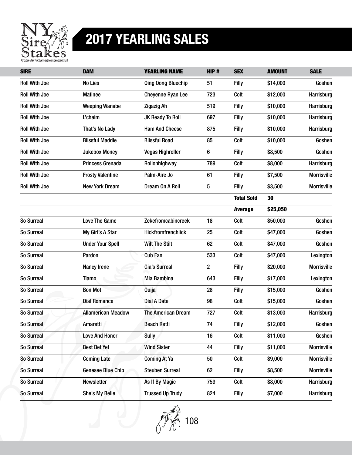

| <b>SIRE</b>          | <b>DAM</b>                | <b>YEARLING NAME</b>      | HIP#           | <b>SEX</b>        | <b>AMOUNT</b> | <b>SALE</b>        |
|----------------------|---------------------------|---------------------------|----------------|-------------------|---------------|--------------------|
| <b>Roll With Joe</b> | No Lies                   | <b>Qing Qong Bluechip</b> | 51             | Filly             | \$14,000      | Goshen             |
| <b>Roll With Joe</b> | <b>Matinee</b>            | <b>Cheyenne Ryan Lee</b>  | 723            | Colt              | \$12,000      | Harrisburg         |
| <b>Roll With Joe</b> | <b>Weeping Wanabe</b>     | <b>Zigazig Ah</b>         | 519            | Filly             | \$10,000      | Harrisburg         |
| <b>Roll With Joe</b> | L'chaim                   | JK Ready To Roll          | 697            | Filly             | \$10,000      | Harrisburg         |
| <b>Roll With Joe</b> | That's No Lady            | <b>Ham And Cheese</b>     | 875            | Filly             | \$10,000      | Harrisburg         |
| <b>Roll With Joe</b> | <b>Blissful Maddie</b>    | <b>Blissful Road</b>      | 85             | Colt              | \$10,000      | Goshen             |
| <b>Roll With Joe</b> | <b>Jukebox Money</b>      | <b>Vegas Highroller</b>   | 6              | <b>Filly</b>      | \$8,500       | Goshen             |
| <b>Roll With Joe</b> | Princess Grenada          | Rollonhighway             | 789            | Colt              | \$8,000       | Harrisburg         |
| <b>Roll With Joe</b> | <b>Frosty Valentine</b>   | Palm-Aire Jo              | 61             | Filly             | \$7,500       | <b>Morrisville</b> |
| <b>Roll With Joe</b> | <b>New York Dream</b>     | Dream On A Roll           | 5              | Filly             | \$3,500       | <b>Morrisville</b> |
|                      |                           |                           |                | <b>Total Sold</b> | 30            |                    |
|                      |                           |                           |                | <b>Average</b>    | \$25,050      |                    |
| So Surreal           | Love The Game             | Zekefromcabincreek        | 18             | Colt              | \$50,000      | Goshen             |
| So Surreal           | My Girl's A Star          | <b>Hickfromfrenchlick</b> | 25             | Colt              | \$47,000      | Goshen             |
| So Surreal           | <b>Under Your Spell</b>   | <b>Wilt The Stilt</b>     | 62             | Colt              | \$47,000      | Goshen             |
| So Surreal           | Pardon                    | <b>Cub Fan</b>            | 533            | Colt              | \$47,000      | Lexington          |
| So Surreal           | <b>Nancy Irene</b>        | Gia's Surreal             | $\overline{c}$ | Filly             | \$20,000      | <b>Morrisville</b> |
| So Surreal           | Tiamo                     | Mia Bambina               | 643            | Filly             | \$17,000      | Lexington          |
| So Surreal           | <b>Bon Mot</b>            | <b>Ouija</b>              | 28             | <b>Filly</b>      | \$15,000      | Goshen             |
| So Surreal           | <b>Dial Romance</b>       | <b>Dial A Date</b>        | 98             | Colt              | \$15,000      | Goshen             |
| So Surreal           | <b>Allamerican Meadow</b> | The American Dream        | 727            | Colt              | \$13,000      | Harrisburg         |
| So Surreal           | Amaretti                  | <b>Beach Retti</b>        | 74             | Filly             | \$12,000      | Goshen             |
| So Surreal           | <b>Love And Honor</b>     | <b>Sully</b>              | 16             | Colt              | \$11,000      | Goshen             |
| So Surreal           | <b>Best Bet Yet</b>       | <b>Wind Sister</b>        | 44             | <b>Filly</b>      | \$11,000      | <b>Morrisville</b> |
| So Surreal           | <b>Coming Late</b>        | <b>Coming At Ya</b>       | 50             | Colt              | \$9,000       | <b>Morrisville</b> |
| So Surreal           | <b>Genesee Blue Chip</b>  | <b>Steuben Surreal</b>    | 62             | <b>Filly</b>      | \$8,500       | <b>Morrisville</b> |
| So Surreal           | Newsletter                | As If By Magic            | 759            | Colt              | \$8,000       | Harrisburg         |
| So Surreal           | She's My Belle            | <b>Trussed Up Trudy</b>   | 824            | <b>Filly</b>      | \$7,000       | Harrisburg         |